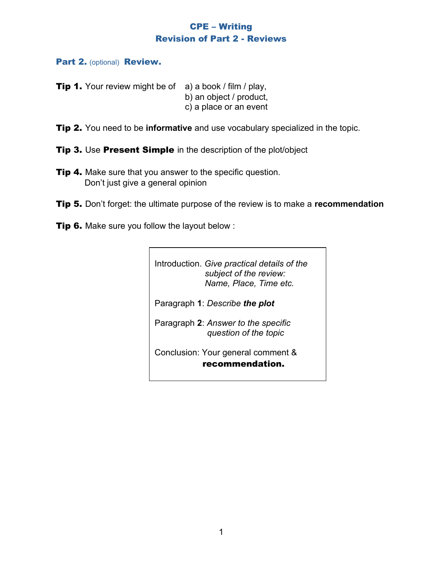## CPE – Writing Revision of Part 2 - Reviews

Part 2. (optional) Review.

- **Tip 1.** Your review might be of  $a$ ) a book / film / play, b) an object / product, c) a place or an event
- Tip 2. You need to be **informative** and use vocabulary specialized in the topic.
- **Tip 3.** Use Present Simple in the description of the plot/object
- **Tip 4.** Make sure that you answer to the specific question. Don't just give a general opinion
- Tip 5. Don't forget: the ultimate purpose of the review is to make a **recommendation**
- **Tip 6.** Make sure you follow the layout below :

Introduction. *Give practical details of the subject of the review: Name, Place, Time etc.* Paragraph **1**: *Describe the plot* Paragraph **2**: *Answer to the specific question of the topic* Conclusion: Your general comment &

recommendation.